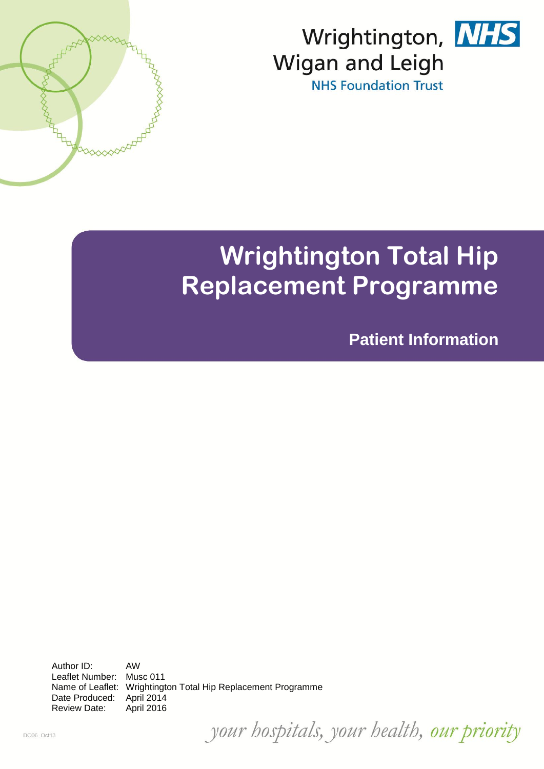



# **Wrightington Total Hip Replacement Programme**

**Patient Information**

Author ID: AW Leaflet Number: Musc 011 Name of Leaflet: Wrightington Total Hip Replacement Programme Date Produced: April 2014 Review Date: April 2016

DOOS\_OCHI3 your hospitals, your health, our priority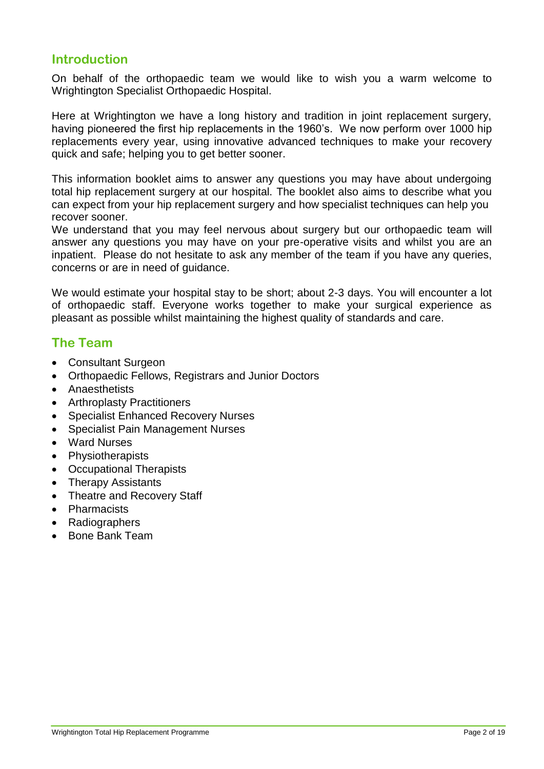# **Introduction**

On behalf of the orthopaedic team we would like to wish you a warm welcome to Wrightington Specialist Orthopaedic Hospital.

Here at Wrightington we have a long history and tradition in joint replacement surgery, having pioneered the first hip replacements in the 1960's. We now perform over 1000 hip replacements every year, using innovative advanced techniques to make your recovery quick and safe; helping you to get better sooner.

This information booklet aims to answer any questions you may have about undergoing total hip replacement surgery at our hospital. The booklet also aims to describe what you can expect from your hip replacement surgery and how specialist techniques can help you recover sooner.

We understand that you may feel nervous about surgery but our orthopaedic team will answer any questions you may have on your pre-operative visits and whilst you are an inpatient. Please do not hesitate to ask any member of the team if you have any queries, concerns or are in need of guidance.

We would estimate your hospital stay to be short; about 2-3 days. You will encounter a lot of orthopaedic staff. Everyone works together to make your surgical experience as pleasant as possible whilst maintaining the highest quality of standards and care.

# **The Team**

- Consultant Surgeon
- Orthopaedic Fellows, Registrars and Junior Doctors
- Anaesthetists
- Arthroplasty Practitioners
- Specialist Enhanced Recovery Nurses
- Specialist Pain Management Nurses
- Ward Nurses
- Physiotherapists
- Occupational Therapists
- Therapy Assistants
- Theatre and Recovery Staff
- Pharmacists
- Radiographers
- Bone Bank Team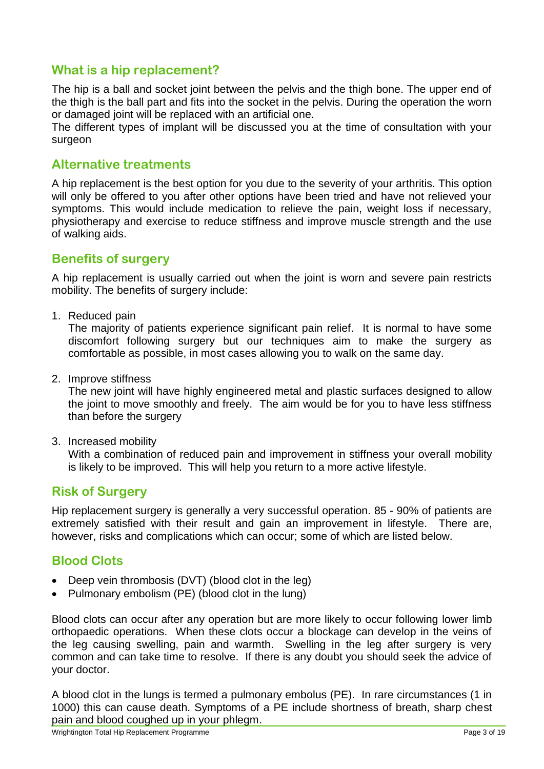## **What is a hip replacement?**

The hip is a ball and socket joint between the pelvis and the thigh bone. The upper end of the thigh is the ball part and fits into the socket in the pelvis. During the operation the worn or damaged joint will be replaced with an artificial one.

The different types of implant will be discussed you at the time of consultation with your surgeon

## **Alternative treatments**

A hip replacement is the best option for you due to the severity of your arthritis. This option will only be offered to you after other options have been tried and have not relieved your symptoms. This would include medication to relieve the pain, weight loss if necessary, physiotherapy and exercise to reduce stiffness and improve muscle strength and the use of walking aids.

## **Benefits of surgery**

A hip replacement is usually carried out when the joint is worn and severe pain restricts mobility. The benefits of surgery include:

1. Reduced pain

The majority of patients experience significant pain relief. It is normal to have some discomfort following surgery but our techniques aim to make the surgery as comfortable as possible, in most cases allowing you to walk on the same day.

2. Improve stiffness

The new joint will have highly engineered metal and plastic surfaces designed to allow the joint to move smoothly and freely. The aim would be for you to have less stiffness than before the surgery

3. Increased mobility

With a combination of reduced pain and improvement in stiffness your overall mobility is likely to be improved. This will help you return to a more active lifestyle.

## **Risk of Surgery**

Hip replacement surgery is generally a very successful operation. 85 - 90% of patients are extremely satisfied with their result and gain an improvement in lifestyle. There are, however, risks and complications which can occur; some of which are listed below.

# **Blood Clots**

- Deep vein thrombosis (DVT) (blood clot in the leg)
- Pulmonary embolism (PE) (blood clot in the lung)

Blood clots can occur after any operation but are more likely to occur following lower limb orthopaedic operations. When these clots occur a blockage can develop in the veins of the leg causing swelling, pain and warmth. Swelling in the leg after surgery is very common and can take time to resolve. If there is any doubt you should seek the advice of your doctor.

A blood clot in the lungs is termed a pulmonary embolus (PE). In rare circumstances (1 in 1000) this can cause death. Symptoms of a PE include shortness of breath, sharp chest pain and blood coughed up in your phlegm.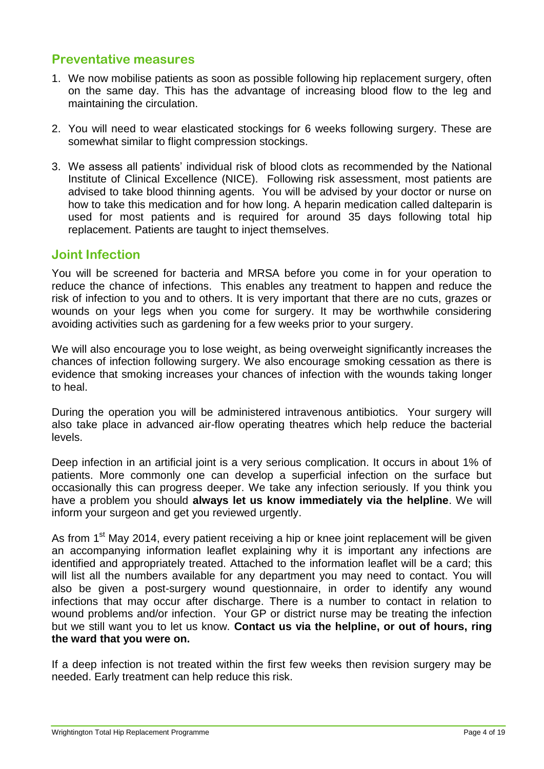## **Preventative measures**

- 1. We now mobilise patients as soon as possible following hip replacement surgery, often on the same day. This has the advantage of increasing blood flow to the leg and maintaining the circulation.
- 2. You will need to wear elasticated stockings for 6 weeks following surgery. These are somewhat similar to flight compression stockings.
- 3. We assess all patients' individual risk of blood clots as recommended by the National Institute of Clinical Excellence (NICE). Following risk assessment, most patients are advised to take blood thinning agents. You will be advised by your doctor or nurse on how to take this medication and for how long. A heparin medication called dalteparin is used for most patients and is required for around 35 days following total hip replacement. Patients are taught to inject themselves.

## **Joint Infection**

You will be screened for bacteria and MRSA before you come in for your operation to reduce the chance of infections. This enables any treatment to happen and reduce the risk of infection to you and to others. It is very important that there are no cuts, grazes or wounds on your legs when you come for surgery. It may be worthwhile considering avoiding activities such as gardening for a few weeks prior to your surgery.

We will also encourage you to lose weight, as being overweight significantly increases the chances of infection following surgery. We also encourage smoking cessation as there is evidence that smoking increases your chances of infection with the wounds taking longer to heal.

During the operation you will be administered intravenous antibiotics. Your surgery will also take place in advanced air-flow operating theatres which help reduce the bacterial levels.

Deep infection in an artificial joint is a very serious complication. It occurs in about 1% of patients. More commonly one can develop a superficial infection on the surface but occasionally this can progress deeper. We take any infection seriously. If you think you have a problem you should **always let us know immediately via the helpline**. We will inform your surgeon and get you reviewed urgently.

As from 1<sup>st</sup> May 2014, every patient receiving a hip or knee joint replacement will be given an accompanying information leaflet explaining why it is important any infections are identified and appropriately treated. Attached to the information leaflet will be a card; this will list all the numbers available for any department you may need to contact. You will also be given a post-surgery wound questionnaire, in order to identify any wound infections that may occur after discharge. There is a number to contact in relation to wound problems and/or infection. Your GP or district nurse may be treating the infection but we still want you to let us know. **Contact us via the helpline, or out of hours, ring the ward that you were on.**

If a deep infection is not treated within the first few weeks then revision surgery may be needed. Early treatment can help reduce this risk.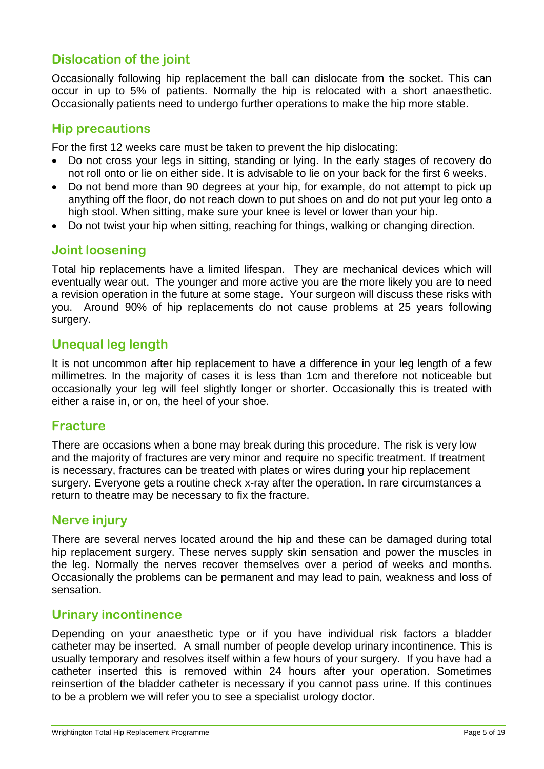# **Dislocation of the joint**

Occasionally following hip replacement the ball can dislocate from the socket. This can occur in up to 5% of patients. Normally the hip is relocated with a short anaesthetic. Occasionally patients need to undergo further operations to make the hip more stable.

## **Hip precautions**

For the first 12 weeks care must be taken to prevent the hip dislocating:

- Do not cross your legs in sitting, standing or lying. In the early stages of recovery do not roll onto or lie on either side. It is advisable to lie on your back for the first 6 weeks.
- Do not bend more than 90 degrees at your hip, for example, do not attempt to pick up anything off the floor, do not reach down to put shoes on and do not put your leg onto a high stool. When sitting, make sure your knee is level or lower than your hip.
- Do not twist your hip when sitting, reaching for things, walking or changing direction.

## **Joint loosening**

Total hip replacements have a limited lifespan. They are mechanical devices which will eventually wear out. The younger and more active you are the more likely you are to need a revision operation in the future at some stage. Your surgeon will discuss these risks with you. Around 90% of hip replacements do not cause problems at 25 years following surgery.

## **Unequal leg length**

It is not uncommon after hip replacement to have a difference in your leg length of a few millimetres. In the majority of cases it is less than 1cm and therefore not noticeable but occasionally your leg will feel slightly longer or shorter. Occasionally this is treated with either a raise in, or on, the heel of your shoe.

#### **Fracture**

There are occasions when a bone may break during this procedure. The risk is very low and the majority of fractures are very minor and require no specific treatment. If treatment is necessary, fractures can be treated with plates or wires during your hip replacement surgery. Everyone gets a routine check x-ray after the operation. In rare circumstances a return to theatre may be necessary to fix the fracture.

## **Nerve injury**

There are several nerves located around the hip and these can be damaged during total hip replacement surgery. These nerves supply skin sensation and power the muscles in the leg. Normally the nerves recover themselves over a period of weeks and months. Occasionally the problems can be permanent and may lead to pain, weakness and loss of sensation.

#### **Urinary incontinence**

Depending on your anaesthetic type or if you have individual risk factors a bladder catheter may be inserted. A small number of people develop urinary incontinence. This is usually temporary and resolves itself within a few hours of your surgery. If you have had a catheter inserted this is removed within 24 hours after your operation. Sometimes reinsertion of the bladder catheter is necessary if you cannot pass urine. If this continues to be a problem we will refer you to see a specialist urology doctor.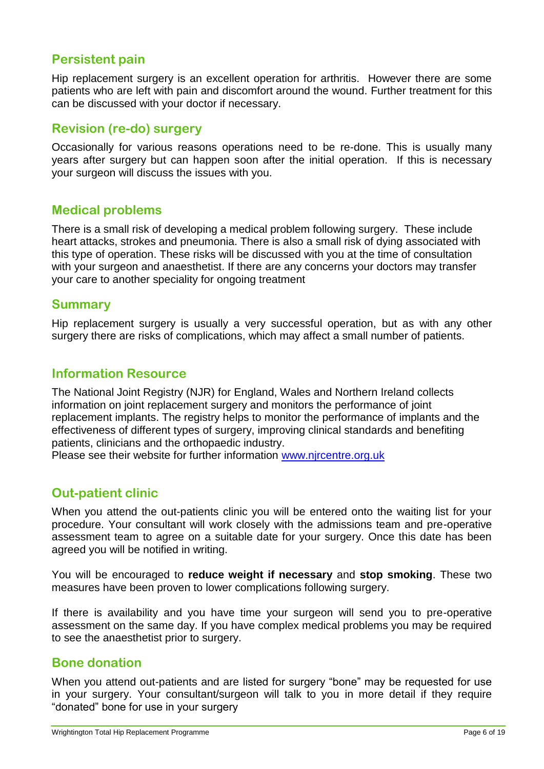# **Persistent pain**

Hip replacement surgery is an excellent operation for arthritis. However there are some patients who are left with pain and discomfort around the wound. Further treatment for this can be discussed with your doctor if necessary.

## **Revision (re-do) surgery**

Occasionally for various reasons operations need to be re-done. This is usually many years after surgery but can happen soon after the initial operation. If this is necessary your surgeon will discuss the issues with you.

## **Medical problems**

There is a small risk of developing a medical problem following surgery. These include heart attacks, strokes and pneumonia. There is also a small risk of dying associated with this type of operation. These risks will be discussed with you at the time of consultation with your surgeon and anaesthetist. If there are any concerns your doctors may transfer your care to another speciality for ongoing treatment

#### **Summary**

Hip replacement surgery is usually a very successful operation, but as with any other surgery there are risks of complications, which may affect a small number of patients.

#### **Information Resource**

The National Joint Registry (NJR) for England, Wales and Northern Ireland collects information on joint replacement surgery and monitors the performance of joint replacement implants. The registry helps to monitor the performance of implants and the effectiveness of different types of surgery, improving clinical standards and benefiting patients, clinicians and the orthopaedic industry.

Please see their website for further information [www.njrcentre.org.uk](http://www.njrcentre.org.uk/)

## **Out-patient clinic**

When you attend the out-patients clinic you will be entered onto the waiting list for your procedure. Your consultant will work closely with the admissions team and pre-operative assessment team to agree on a suitable date for your surgery. Once this date has been agreed you will be notified in writing.

You will be encouraged to **reduce weight if necessary** and **stop smoking**. These two measures have been proven to lower complications following surgery.

If there is availability and you have time your surgeon will send you to pre-operative assessment on the same day. If you have complex medical problems you may be required to see the anaesthetist prior to surgery.

#### **Bone donation**

When you attend out-patients and are listed for surgery "bone" may be requested for use in your surgery. Your consultant/surgeon will talk to you in more detail if they require "donated" bone for use in your surgery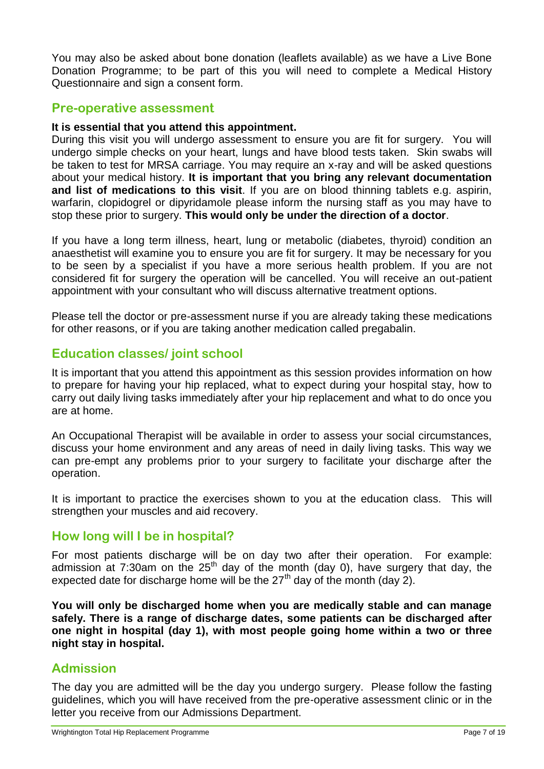You may also be asked about bone donation (leaflets available) as we have a Live Bone Donation Programme; to be part of this you will need to complete a Medical History Questionnaire and sign a consent form.

## **Pre-operative assessment**

#### **It is essential that you attend this appointment.**

During this visit you will undergo assessment to ensure you are fit for surgery. You will undergo simple checks on your heart, lungs and have blood tests taken. Skin swabs will be taken to test for MRSA carriage. You may require an x-ray and will be asked questions about your medical history. **It is important that you bring any relevant documentation and list of medications to this visit**. If you are on blood thinning tablets e.g. aspirin, warfarin, clopidogrel or dipyridamole please inform the nursing staff as you may have to stop these prior to surgery. **This would only be under the direction of a doctor**.

If you have a long term illness, heart, lung or metabolic (diabetes, thyroid) condition an anaesthetist will examine you to ensure you are fit for surgery. It may be necessary for you to be seen by a specialist if you have a more serious health problem. If you are not considered fit for surgery the operation will be cancelled. You will receive an out-patient appointment with your consultant who will discuss alternative treatment options.

Please tell the doctor or pre-assessment nurse if you are already taking these medications for other reasons, or if you are taking another medication called pregabalin.

## **Education classes/ joint school**

It is important that you attend this appointment as this session provides information on how to prepare for having your hip replaced, what to expect during your hospital stay, how to carry out daily living tasks immediately after your hip replacement and what to do once you are at home.

An Occupational Therapist will be available in order to assess your social circumstances, discuss your home environment and any areas of need in daily living tasks. This way we can pre-empt any problems prior to your surgery to facilitate your discharge after the operation.

It is important to practice the exercises shown to you at the education class. This will strengthen your muscles and aid recovery.

#### **How long will I be in hospital?**

For most patients discharge will be on day two after their operation. For example: admission at 7:30am on the  $25<sup>th</sup>$  day of the month (day 0), have surgery that day, the expected date for discharge home will be the  $27<sup>th</sup>$  day of the month (day 2).

**You will only be discharged home when you are medically stable and can manage safely. There is a range of discharge dates, some patients can be discharged after one night in hospital (day 1), with most people going home within a two or three night stay in hospital.** 

## **Admission**

The day you are admitted will be the day you undergo surgery. Please follow the fasting guidelines, which you will have received from the pre-operative assessment clinic or in the letter you receive from our Admissions Department.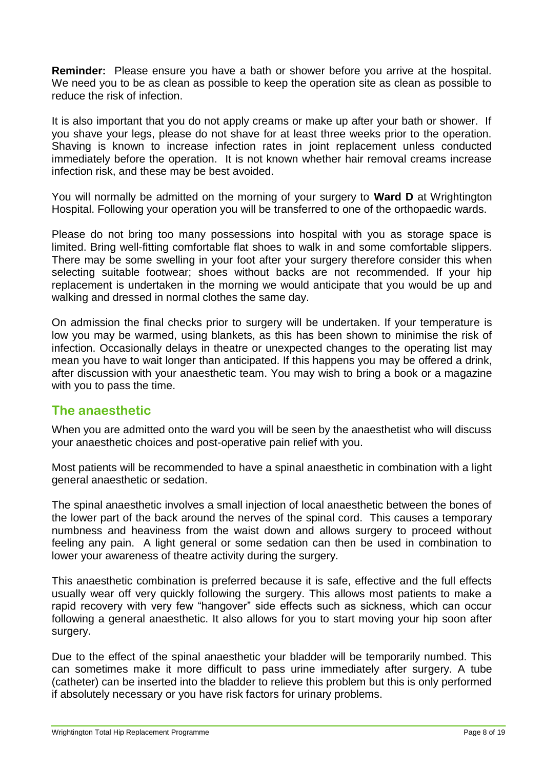**Reminder:** Please ensure you have a bath or shower before you arrive at the hospital. We need you to be as clean as possible to keep the operation site as clean as possible to reduce the risk of infection.

It is also important that you do not apply creams or make up after your bath or shower. If you shave your legs, please do not shave for at least three weeks prior to the operation. Shaving is known to increase infection rates in joint replacement unless conducted immediately before the operation. It is not known whether hair removal creams increase infection risk, and these may be best avoided.

You will normally be admitted on the morning of your surgery to **Ward D** at Wrightington Hospital. Following your operation you will be transferred to one of the orthopaedic wards.

Please do not bring too many possessions into hospital with you as storage space is limited. Bring well-fitting comfortable flat shoes to walk in and some comfortable slippers. There may be some swelling in your foot after your surgery therefore consider this when selecting suitable footwear; shoes without backs are not recommended. If your hip replacement is undertaken in the morning we would anticipate that you would be up and walking and dressed in normal clothes the same day.

On admission the final checks prior to surgery will be undertaken. If your temperature is low you may be warmed, using blankets, as this has been shown to minimise the risk of infection. Occasionally delays in theatre or unexpected changes to the operating list may mean you have to wait longer than anticipated. If this happens you may be offered a drink, after discussion with your anaesthetic team. You may wish to bring a book or a magazine with you to pass the time.

## **The anaesthetic**

When you are admitted onto the ward you will be seen by the anaesthetist who will discuss your anaesthetic choices and post-operative pain relief with you.

Most patients will be recommended to have a spinal anaesthetic in combination with a light general anaesthetic or sedation.

The spinal anaesthetic involves a small injection of local anaesthetic between the bones of the lower part of the back around the nerves of the spinal cord. This causes a temporary numbness and heaviness from the waist down and allows surgery to proceed without feeling any pain. A light general or some sedation can then be used in combination to lower your awareness of theatre activity during the surgery.

This anaesthetic combination is preferred because it is safe, effective and the full effects usually wear off very quickly following the surgery. This allows most patients to make a rapid recovery with very few "hangover" side effects such as sickness, which can occur following a general anaesthetic. It also allows for you to start moving your hip soon after surgery.

Due to the effect of the spinal anaesthetic your bladder will be temporarily numbed. This can sometimes make it more difficult to pass urine immediately after surgery. A tube (catheter) can be inserted into the bladder to relieve this problem but this is only performed if absolutely necessary or you have risk factors for urinary problems.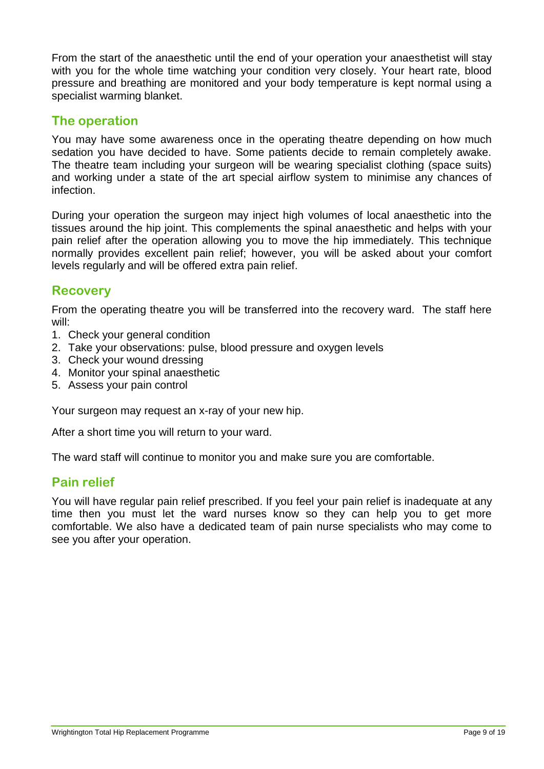From the start of the anaesthetic until the end of your operation your anaesthetist will stay with you for the whole time watching your condition very closely. Your heart rate, blood pressure and breathing are monitored and your body temperature is kept normal using a specialist warming blanket.

## **The operation**

You may have some awareness once in the operating theatre depending on how much sedation you have decided to have. Some patients decide to remain completely awake. The theatre team including your surgeon will be wearing specialist clothing (space suits) and working under a state of the art special airflow system to minimise any chances of infection.

During your operation the surgeon may inject high volumes of local anaesthetic into the tissues around the hip joint. This complements the spinal anaesthetic and helps with your pain relief after the operation allowing you to move the hip immediately. This technique normally provides excellent pain relief; however, you will be asked about your comfort levels regularly and will be offered extra pain relief.

## **Recovery**

From the operating theatre you will be transferred into the recovery ward. The staff here will:

- 1. Check your general condition
- 2. Take your observations: pulse, blood pressure and oxygen levels
- 3. Check your wound dressing
- 4. Monitor your spinal anaesthetic
- 5. Assess your pain control

Your surgeon may request an x-ray of your new hip.

After a short time you will return to your ward.

The ward staff will continue to monitor you and make sure you are comfortable.

#### **Pain relief**

You will have regular pain relief prescribed. If you feel your pain relief is inadequate at any time then you must let the ward nurses know so they can help you to get more comfortable. We also have a dedicated team of pain nurse specialists who may come to see you after your operation.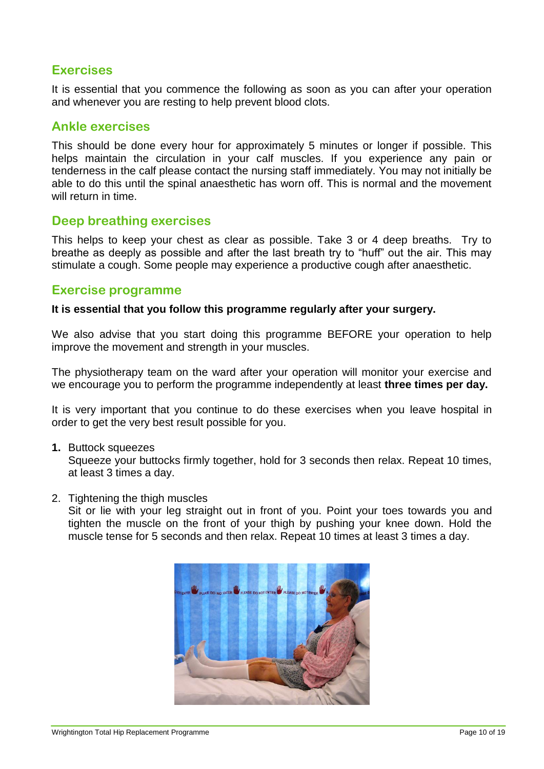## **Exercises**

It is essential that you commence the following as soon as you can after your operation and whenever you are resting to help prevent blood clots.

## **Ankle exercises**

This should be done every hour for approximately 5 minutes or longer if possible. This helps maintain the circulation in your calf muscles. If you experience any pain or tenderness in the calf please contact the nursing staff immediately. You may not initially be able to do this until the spinal anaesthetic has worn off. This is normal and the movement will return in time.

## **Deep breathing exercises**

This helps to keep your chest as clear as possible. Take 3 or 4 deep breaths. Try to breathe as deeply as possible and after the last breath try to "huff" out the air. This may stimulate a cough. Some people may experience a productive cough after anaesthetic.

#### **Exercise programme**

#### **It is essential that you follow this programme regularly after your surgery.**

We also advise that you start doing this programme BEFORE your operation to help improve the movement and strength in your muscles.

The physiotherapy team on the ward after your operation will monitor your exercise and we encourage you to perform the programme independently at least **three times per day.**

It is very important that you continue to do these exercises when you leave hospital in order to get the very best result possible for you.

**1.** Buttock squeezes

Squeeze your buttocks firmly together, hold for 3 seconds then relax. Repeat 10 times, at least 3 times a day.

2. Tightening the thigh muscles

Sit or lie with your leg straight out in front of you. Point your toes towards you and tighten the muscle on the front of your thigh by pushing your knee down. Hold the muscle tense for 5 seconds and then relax. Repeat 10 times at least 3 times a day.

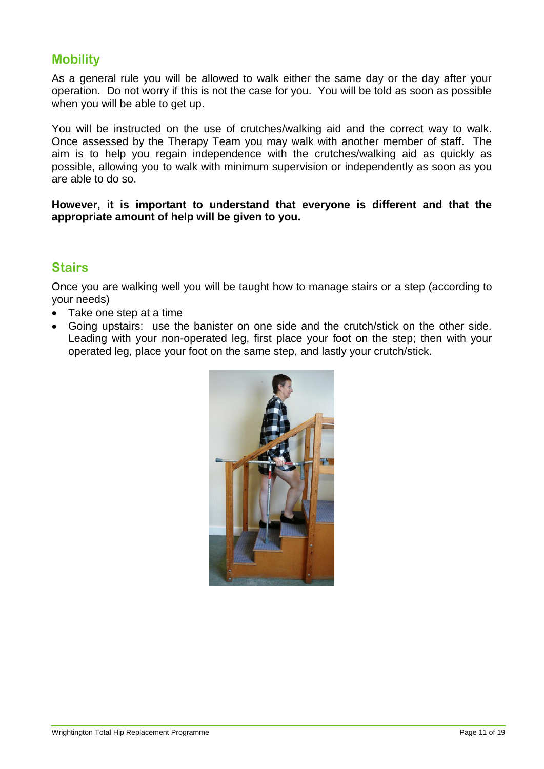## **Mobility**

As a general rule you will be allowed to walk either the same day or the day after your operation. Do not worry if this is not the case for you. You will be told as soon as possible when you will be able to get up.

You will be instructed on the use of crutches/walking aid and the correct way to walk. Once assessed by the Therapy Team you may walk with another member of staff. The aim is to help you regain independence with the crutches/walking aid as quickly as possible, allowing you to walk with minimum supervision or independently as soon as you are able to do so.

#### **However, it is important to understand that everyone is different and that the appropriate amount of help will be given to you.**

## **Stairs**

Once you are walking well you will be taught how to manage stairs or a step (according to your needs)

- Take one step at a time
- Going upstairs: use the banister on one side and the crutch/stick on the other side. Leading with your non-operated leg, first place your foot on the step; then with your operated leg, place your foot on the same step, and lastly your crutch/stick.

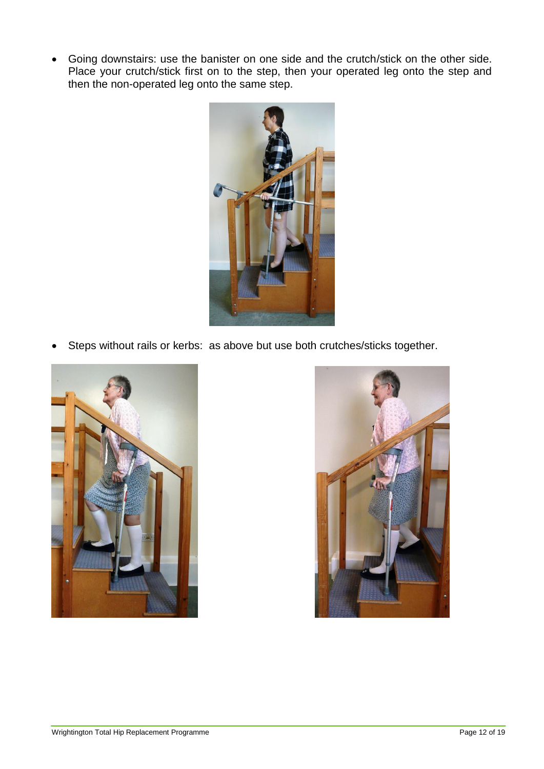Going downstairs: use the banister on one side and the crutch/stick on the other side. Place your crutch/stick first on to the step, then your operated leg onto the step and then the non-operated leg onto the same step.



Steps without rails or kerbs: as above but use both crutches/sticks together.



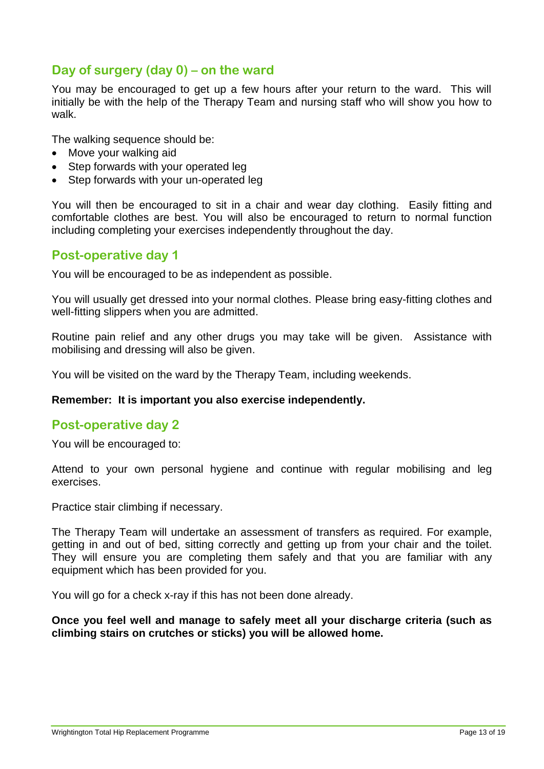## **Day of surgery (day 0) – on the ward**

You may be encouraged to get up a few hours after your return to the ward. This will initially be with the help of the Therapy Team and nursing staff who will show you how to walk.

The walking sequence should be:

- Move your walking aid
- Step forwards with your operated leg
- Step forwards with your un-operated leg

You will then be encouraged to sit in a chair and wear day clothing. Easily fitting and comfortable clothes are best. You will also be encouraged to return to normal function including completing your exercises independently throughout the day.

#### **Post-operative day 1**

You will be encouraged to be as independent as possible.

You will usually get dressed into your normal clothes. Please bring easy-fitting clothes and well-fitting slippers when you are admitted.

Routine pain relief and any other drugs you may take will be given. Assistance with mobilising and dressing will also be given.

You will be visited on the ward by the Therapy Team, including weekends.

#### **Remember: It is important you also exercise independently.**

#### **Post-operative day 2**

You will be encouraged to:

Attend to your own personal hygiene and continue with regular mobilising and leg exercises.

Practice stair climbing if necessary.

The Therapy Team will undertake an assessment of transfers as required. For example, getting in and out of bed, sitting correctly and getting up from your chair and the toilet. They will ensure you are completing them safely and that you are familiar with any equipment which has been provided for you.

You will go for a check x-ray if this has not been done already.

#### **Once you feel well and manage to safely meet all your discharge criteria (such as climbing stairs on crutches or sticks) you will be allowed home.**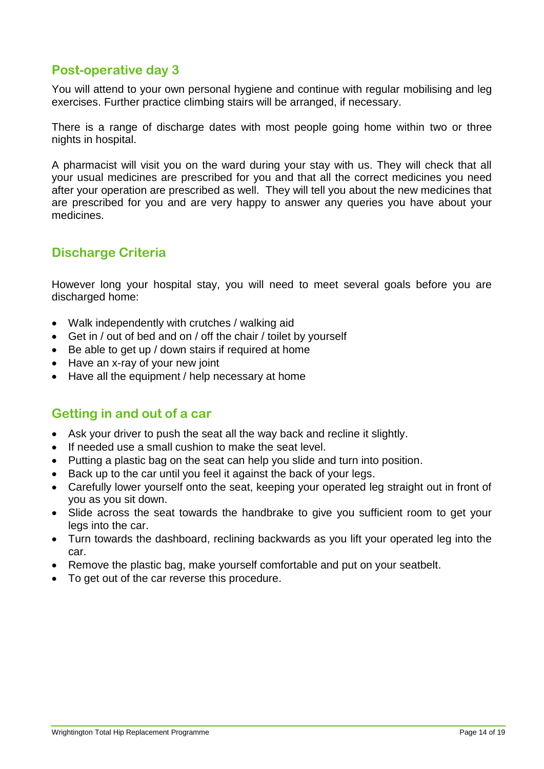# **Post-operative day 3**

You will attend to your own personal hygiene and continue with regular mobilising and leg exercises. Further practice climbing stairs will be arranged, if necessary.

There is a range of discharge dates with most people going home within two or three nights in hospital.

A pharmacist will visit you on the ward during your stay with us. They will check that all your usual medicines are prescribed for you and that all the correct medicines you need after your operation are prescribed as well. They will tell you about the new medicines that are prescribed for you and are very happy to answer any queries you have about your medicines.

# **Discharge Criteria**

However long your hospital stay, you will need to meet several goals before you are discharged home:

- Walk independently with crutches / walking aid
- Get in / out of bed and on / off the chair / toilet by yourself
- Be able to get up / down stairs if required at home
- Have an x-ray of your new joint
- Have all the equipment / help necessary at home

## **Getting in and out of a car**

- Ask your driver to push the seat all the way back and recline it slightly.
- If needed use a small cushion to make the seat level.
- Putting a plastic bag on the seat can help you slide and turn into position.
- Back up to the car until you feel it against the back of your legs.
- Carefully lower yourself onto the seat, keeping your operated leg straight out in front of you as you sit down.
- Slide across the seat towards the handbrake to give you sufficient room to get your legs into the car.
- Turn towards the dashboard, reclining backwards as you lift your operated leg into the car.
- Remove the plastic bag, make yourself comfortable and put on your seatbelt.
- To get out of the car reverse this procedure.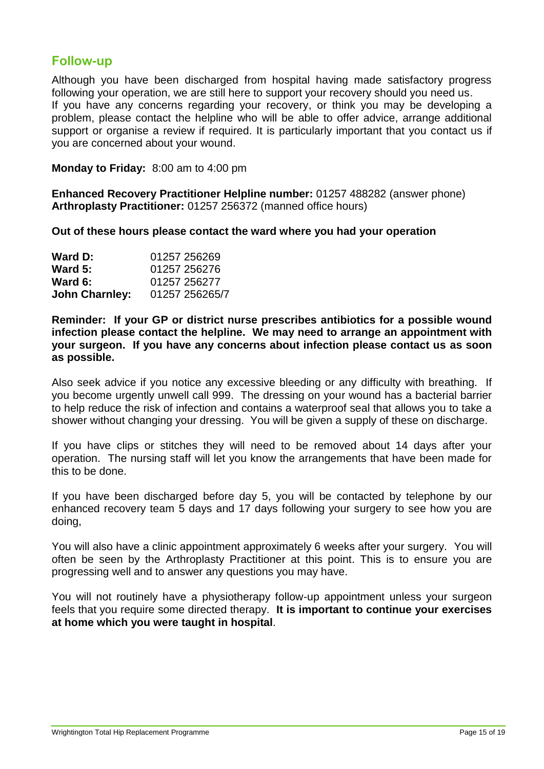## **Follow-up**

Although you have been discharged from hospital having made satisfactory progress following your operation, we are still here to support your recovery should you need us. If you have any concerns regarding your recovery, or think you may be developing a problem, please contact the helpline who will be able to offer advice, arrange additional support or organise a review if required. It is particularly important that you contact us if you are concerned about your wound.

**Monday to Friday:** 8:00 am to 4:00 pm

**Enhanced Recovery Practitioner Helpline number:** 01257 488282 (answer phone) **Arthroplasty Practitioner:** 01257 256372 (manned office hours)

**Out of these hours please contact the ward where you had your operation**

| Ward D:               | 01257 256269   |
|-----------------------|----------------|
| Ward 5:               | 01257 256276   |
| Ward 6:               | 01257 256277   |
| <b>John Charnley:</b> | 01257 256265/7 |

**Reminder: If your GP or district nurse prescribes antibiotics for a possible wound infection please contact the helpline. We may need to arrange an appointment with your surgeon. If you have any concerns about infection please contact us as soon as possible.**

Also seek advice if you notice any excessive bleeding or any difficulty with breathing. If you become urgently unwell call 999. The dressing on your wound has a bacterial barrier to help reduce the risk of infection and contains a waterproof seal that allows you to take a shower without changing your dressing. You will be given a supply of these on discharge.

If you have clips or stitches they will need to be removed about 14 days after your operation. The nursing staff will let you know the arrangements that have been made for this to be done.

If you have been discharged before day 5, you will be contacted by telephone by our enhanced recovery team 5 days and 17 days following your surgery to see how you are doing,

You will also have a clinic appointment approximately 6 weeks after your surgery. You will often be seen by the Arthroplasty Practitioner at this point. This is to ensure you are progressing well and to answer any questions you may have.

You will not routinely have a physiotherapy follow-up appointment unless your surgeon feels that you require some directed therapy. **It is important to continue your exercises at home which you were taught in hospital**.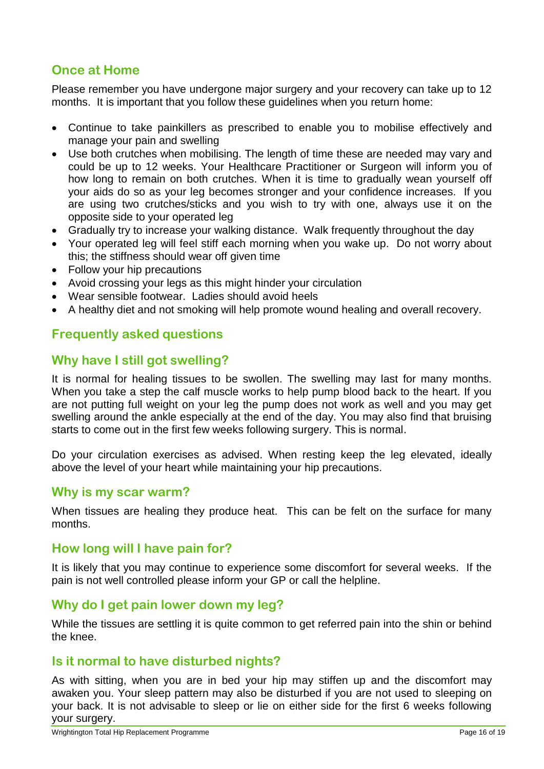# **Once at Home**

Please remember you have undergone major surgery and your recovery can take up to 12 months. It is important that you follow these guidelines when you return home:

- Continue to take painkillers as prescribed to enable you to mobilise effectively and manage your pain and swelling
- Use both crutches when mobilising. The length of time these are needed may vary and could be up to 12 weeks. Your Healthcare Practitioner or Surgeon will inform you of how long to remain on both crutches. When it is time to gradually wean yourself off your aids do so as your leg becomes stronger and your confidence increases. If you are using two crutches/sticks and you wish to try with one, always use it on the opposite side to your operated leg
- Gradually try to increase your walking distance. Walk frequently throughout the day
- Your operated leg will feel stiff each morning when you wake up. Do not worry about this; the stiffness should wear off given time
- Follow your hip precautions
- Avoid crossing your legs as this might hinder your circulation
- Wear sensible footwear. Ladies should avoid heels
- A healthy diet and not smoking will help promote wound healing and overall recovery.

# **Frequently asked questions**

# **Why have I still got swelling?**

It is normal for healing tissues to be swollen. The swelling may last for many months. When you take a step the calf muscle works to help pump blood back to the heart. If you are not putting full weight on your leg the pump does not work as well and you may get swelling around the ankle especially at the end of the day. You may also find that bruising starts to come out in the first few weeks following surgery. This is normal.

Do your circulation exercises as advised. When resting keep the leg elevated, ideally above the level of your heart while maintaining your hip precautions.

## **Why is my scar warm?**

When tissues are healing they produce heat. This can be felt on the surface for many months.

## **How long will I have pain for?**

It is likely that you may continue to experience some discomfort for several weeks. If the pain is not well controlled please inform your GP or call the helpline.

#### **Why do I get pain lower down my leg?**

While the tissues are settling it is quite common to get referred pain into the shin or behind the knee.

## **Is it normal to have disturbed nights?**

As with sitting, when you are in bed your hip may stiffen up and the discomfort may awaken you. Your sleep pattern may also be disturbed if you are not used to sleeping on your back. It is not advisable to sleep or lie on either side for the first 6 weeks following your surgery.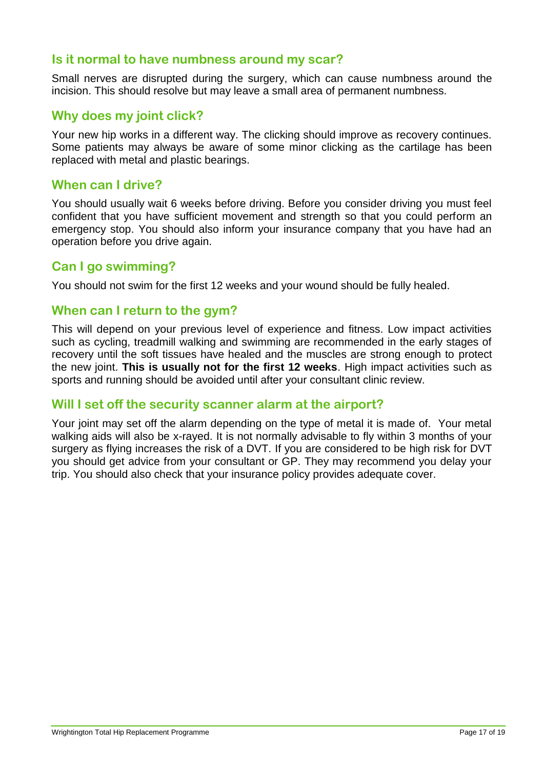## **Is it normal to have numbness around my scar?**

Small nerves are disrupted during the surgery, which can cause numbness around the incision. This should resolve but may leave a small area of permanent numbness.

#### **Why does my joint click?**

Your new hip works in a different way. The clicking should improve as recovery continues. Some patients may always be aware of some minor clicking as the cartilage has been replaced with metal and plastic bearings.

#### **When can I drive?**

You should usually wait 6 weeks before driving. Before you consider driving you must feel confident that you have sufficient movement and strength so that you could perform an emergency stop. You should also inform your insurance company that you have had an operation before you drive again.

#### **Can I go swimming?**

You should not swim for the first 12 weeks and your wound should be fully healed.

#### **When can I return to the gym?**

This will depend on your previous level of experience and fitness. Low impact activities such as cycling, treadmill walking and swimming are recommended in the early stages of recovery until the soft tissues have healed and the muscles are strong enough to protect the new joint. **This is usually not for the first 12 weeks**. High impact activities such as sports and running should be avoided until after your consultant clinic review.

#### **Will I set off the security scanner alarm at the airport?**

Your joint may set off the alarm depending on the type of metal it is made of. Your metal walking aids will also be x-rayed. It is not normally advisable to fly within 3 months of your surgery as flying increases the risk of a DVT. If you are considered to be high risk for DVT you should get advice from your consultant or GP. They may recommend you delay your trip. You should also check that your insurance policy provides adequate cover.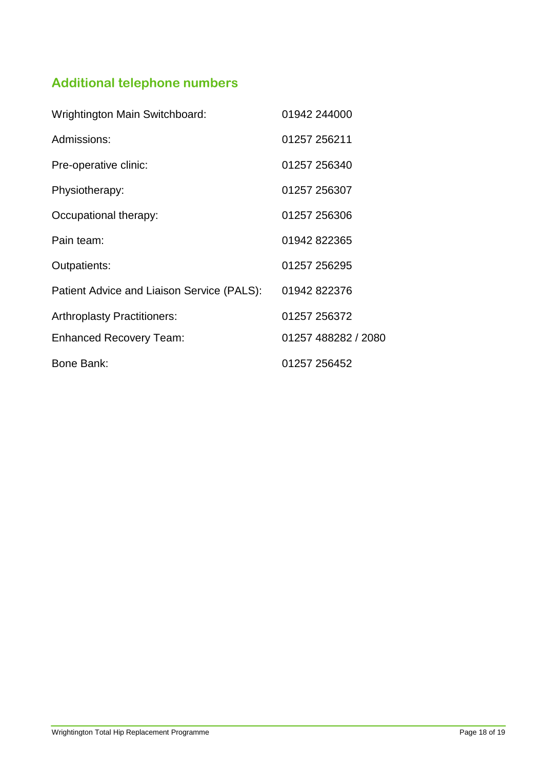# **Additional telephone numbers**

| <b>Wrightington Main Switchboard:</b>      | 01942 244000        |
|--------------------------------------------|---------------------|
| Admissions:                                | 01257 256211        |
| Pre-operative clinic:                      | 01257 256340        |
| Physiotherapy:                             | 01257 256307        |
| Occupational therapy:                      | 01257 256306        |
| Pain team:                                 | 01942 822365        |
| Outpatients:                               | 01257 256295        |
| Patient Advice and Liaison Service (PALS): | 01942 822376        |
| <b>Arthroplasty Practitioners:</b>         | 01257 256372        |
| <b>Enhanced Recovery Team:</b>             | 01257 488282 / 2080 |
| Bone Bank:                                 | 01257 256452        |